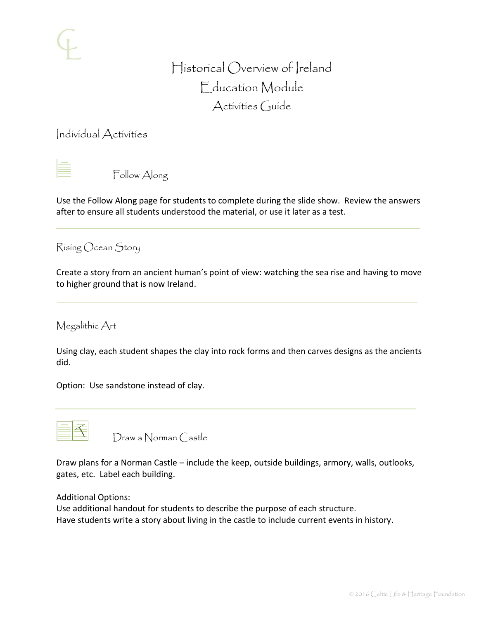# Historical Overview of Ireland Education Module Activities Guide

Individual Activities



Follow Along

Use the Follow Along page for students to complete during the slide show. Review the answers after to ensure all students understood the material, or use it later as a test.

Rising Ocean Story

Create a story from an ancient human's point of view: watching the sea rise and having to move to higher ground that is now Ireland.

Megalithic Art

Using clay, each student shapes the clay into rock forms and then carves designs as the ancients did.

Option: Use sandstone instead of clay.



Draw a Norman Castle

Draw plans for a Norman Castle – include the keep, outside buildings, armory, walls, outlooks, gates, etc. Label each building.

Additional Options:

Use additional handout for students to describe the purpose of each structure. Have students write a story about living in the castle to include current events in history.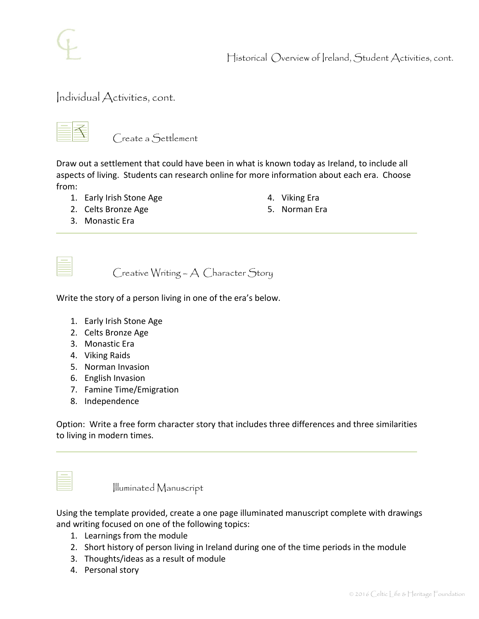

Historical Overview of Ireland, Student Activities, cont.

### Individual Activities, cont.



Create a Settlement

Draw out a settlement that could have been in what is known today as Ireland, to include all aspects of living. Students can research online for more information about each era. Choose from:

- 1. Early Irish Stone Age
- 2. Celts Bronze Age
- 4. Viking Era
- 5. Norman Era

3. Monastic Era

Creative Writing – A Character Story

Write the story of a person living in one of the era's below.

- 1. Early Irish Stone Age
- 2. Celts Bronze Age
- 3. Monastic Era
- 4. Viking Raids
- 5. Norman Invasion
- 6. English Invasion
- 7. Famine Time/Emigration
- 8. Independence

Option: Write a free form character story that includes three differences and three similarities to living in modern times.

Illuminated Manuscript

Using the template provided, create a one page illuminated manuscript complete with drawings and writing focused on one of the following topics:

- 1. Learnings from the module
- 2. Short history of person living in Ireland during one of the time periods in the module
- 3. Thoughts/ideas as a result of module
- 4. Personal story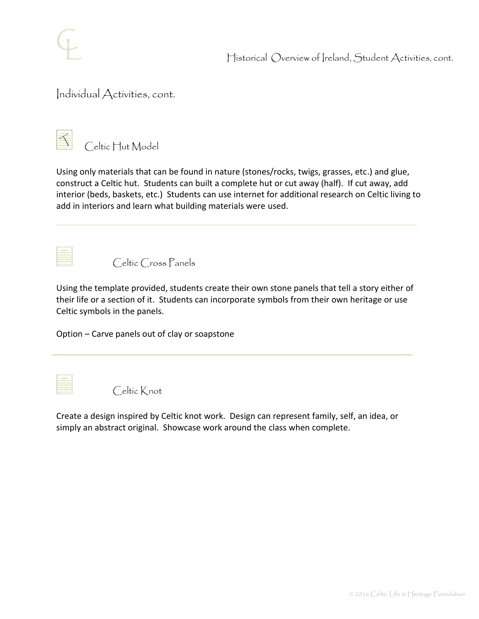

Historical Overview of Ireland, Student Activities, cont.

### Individual Activities, cont.



Celtic Hut Model

Using only materials that can be found in nature (stones/rocks, twigs, grasses, etc.) and glue, construct a Celtic hut. Students can built a complete hut or cut away (half). If cut away, add interior (beds, baskets, etc.) Students can use internet for additional research on Celtic living to add in interiors and learn what building materials were used.



Celtic Cross Panels

Using the template provided, students create their own stone panels that tell a story either of their life or a section of it. Students can incorporate symbols from their own heritage or use Celtic symbols in the panels.

Option – Carve panels out of clay or soapstone

Celtic Knot

Create a design inspired by Celtic knot work. Design can represent family, self, an idea, or simply an abstract original. Showcase work around the class when complete.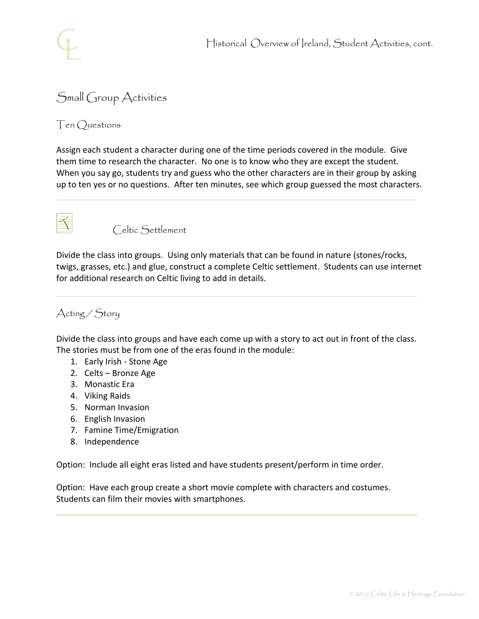

## Small Group Activities

Ten Questions

Assign each student a character during one of the time periods covered in the module. Give them time to research the character. No one is to know who they are except the student. When you say go, students try and guess who the other characters are in their group by asking up to ten yes or no questions. After ten minutes, see which group guessed the most characters.



Celtic Settlement

Divide the class into groups. Using only materials that can be found in nature (stones/rocks, twigs, grasses, etc.) and glue, construct a complete Celtic settlement. Students can use internet for additional research on Celtic living to add in details.

### Acting / Story

Divide the class into groups and have each come up with a story to act out in front of the class. The stories must be from one of the eras found in the module:

- 1. Early Irish Stone Age
- 2. Celts Bronze Age
- 3. Monastic Era
- 4. Viking Raids
- 5. Norman Invasion
- 6. English Invasion
- 7. Famine Time/Emigration
- 8. Independence

Option: Include all eight eras listed and have students present/perform in time order.

Option: Have each group create a short movie complete with characters and costumes. Students can film their movies with smartphones.